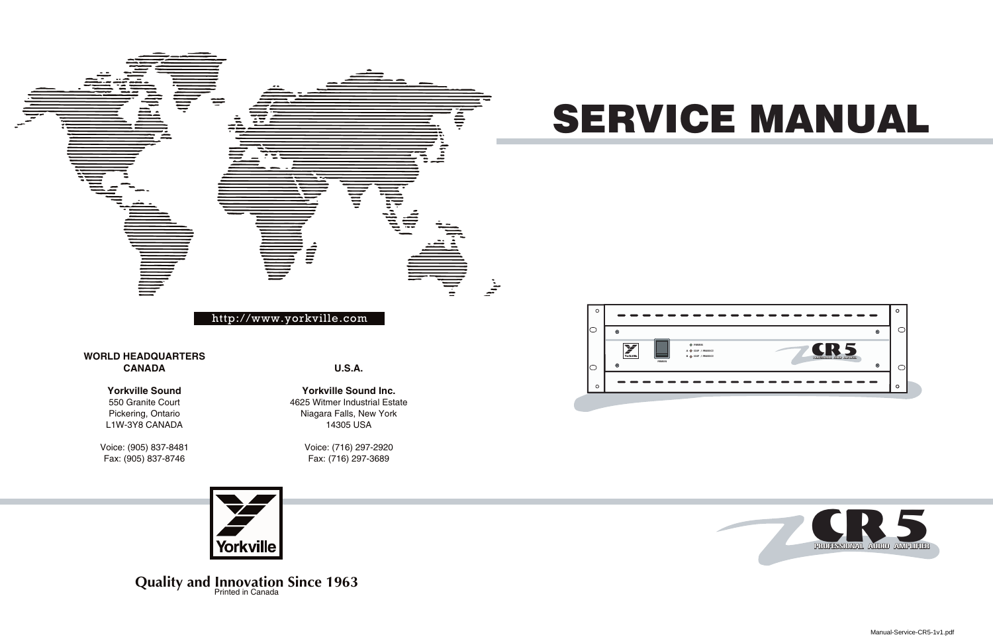# SERVICE MANUAL







**Quality and Innovation Since 1963** Printed in Canada

Manual-Service-CR5-1v1.pdf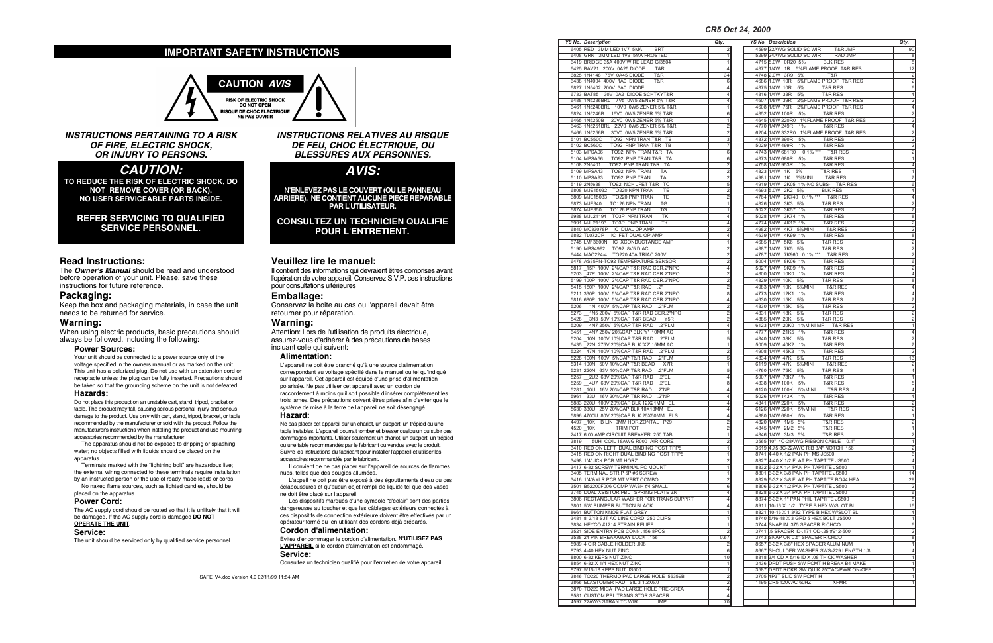**INSTRUCTIONS PERTAINING TO A RISK OF FIRE, ELECTRIC SHOCK, OR INJURY TO PERSONS.**

# **CAUTION :**

TO REDUCE THE RISK OF ELECTRIC SHOCK, DO NOT REMOVE COVER (OR BACK). NO USER SERVICEABLE PARTS INSIDE.

## REFER SERVICING TO QUALIFIED SERVICE PERSONNEL.

# Read Instructions:

The **Owner's Manual** should be read and understood before operation of your unit. Please, save these instructions for future reference.

# **Packaging:**

Keep the box and packaging materials, in case the unit needs to be returned for service.

# Warning:

When using electric products, basic precautions should always be followed, including the following:

#### **Power Sources:**

Your unit should be connected to a power source only of the voltage specified in the owners manual or as marked on the unit. This unit has a polarized plug. Do not use with an extension cord or receptacle unless the plug can be fully inserted. Precautions should be taken so that the grounding scheme on the unit is not defeated.

#### **Hazards:**

Do not place this product on an unstable cart, stand, tripod, bracket or table. The product may fall, causing serious personal injury and serious damage to the product. Use only with cart, stand, tripod, bracket, or table recommended by the manufacturer or sold with the product. Follow the manufacturer's instructions when installing the product and use mounting accessories recommended by the manufacturer.

The apparatus should not be exposed to dripping or splashing water; no objects filled with liquids should be placed on the apparatus.

Terminals marked with the "lightning bolt" are hazardous live; the external wiring connected to these terminals require installation by an instructed person or the use of ready made leads or cords.

No naked flame sources, such as lighted candles, should be placed on the apparatus.

### **Power Cord:**

The AC supply cord should be routed so that it is unlikely that it will be damaged. If the AC supply cord is damaged **DO NOT O P E R A T E T H E U N I T** .

# **Service:**

The unit should be serviced only by qualified service personnel.

**INSTRUCTIONS RELATIVES AU RISQUE DE FEU, CHOC ÉLECTRIQUE, OU BLESSURES AUX PERSONNES.**

**AVIS:**

N'ENLEVEZ PAS LE COUVERT (OU LE PANNEAU ARRIERE). NE CONTIENT AUCUNE PIECE REPARABLE **PAR L'UTILISATEUR.** 

**CONSULTEZ UN TECHNICIEN QUALIFIE POUR L'ENTRETIENT.** 

# Veuillez lire le manuel:

Il contient des informations qui devraient êtres comprises avant l'opération de votre appareil. Conservez S.V.P. ces instructions pour consultations ultérieures

# Emballage:

Conservez la boite au cas ou l'appareil devait être retourner pour réparation.

# **Warning:**

Attention: Lors de l'utilisation de produits électrique, assurez-vous d'adhérer à des précautions de bases incluant celle qui suivent:

#### **A l i m e n t a t i o n :**

L'appareil ne doit être branché qu'à une source d'alimentation correspondant au voltage spécifié dans le manuel ou tel qu'indiqué sur l'appareil. Cet appareil est équipé d'une prise d'alimentation polarisée. Ne pas utiliser cet appareil avec un cordon de raccordement à moins qu'il soit possible d'insérer complètement les trois lames. Des précautions doivent êtres prises afin d'eviter que le système de mise à la terre de l'appareil ne soit désengagé.

#### **Hazard:**

Ne pas placer cet appareil sur un chariot, un support, un trépied ou une table instables. L'appareil pourrait tomber et blesser quelqu'un ou subir des dommages importants. Utiliser seulement un chariot, un support, un trépied ou une table recommandés par le fabricant ou vendus avec le produit. Suivre les instructions du fabricant pour installer l'appareil et utiliser les accessoires recommandés par le fabricant.

Il convient de ne pas placer sur l'appareil de sources de flammes nues, telles que des bougies allumées.

L'appeil ne doit pas être exposé à des égouttements d'eau ou des éclaboussures et qu'aucun objet rempli de liquide tel que des vases ne doit être placé sur l'appareil.

Les dispositifs marqués d'une symbole "d'éclair" sont des parties dangereuses au toucher et que les câblages extérieurs connectés à ces dispositifs de connection extérieure doivent être effectivés par un opérateur formé ou en utilisant des cordons déjà préparés.

#### **Cordon d'alimentation:**

Évitez d'endommager le cordon d'alimentation. N'UTILISEZ PAS **L'APPAREIL** si le cordon d'alimentation est endommagé. **Service:** 

Consultez un technicien qualifié pour l'entretien de votre appareil.

#### *C R 5 O c t 2 4 , 2 0 0 0*

 $\begin{array}{r} 2 \\ 1 \\ 4 \\ 34 \\ \hline 6 \\ 4 \\ \hline 4 \\ 4 \\ \hline 4 \\ 1 \\ \hline \end{array}$ 

6

1

2

2

3

7

6

6

2

2

2

5

2

2

1

1

4

4

2

4

1

2

2

2

4

2

2

2

8

4

2

2

2

| <b>YS No. Description</b>                                                       | Qty.                                      |
|---------------------------------------------------------------------------------|-------------------------------------------|
| 4599 22AWG SOLID SC WIR T&R JMP<br>5299 24AWG SOLID SC WIR RAD JMP              | 90                                        |
|                                                                                 | 8                                         |
| 4715 5.0W 0R20 5% BLK RES                                                       | 8                                         |
| 4877 1/4W 1R 5%FLAME PROOF T&R RES                                              | 12                                        |
| 4748 2.0W 3R9 5% T&R                                                            | $\overline{c}$                            |
| 4686 1.0W 10R 5%FLAME PROOF T&R RES                                             | $\overline{\mathbf{c}}$                   |
| 4875 1/4W 10R 5% T&R RES                                                        | 6                                         |
| 4816 1/4W 33R 5%<br><b>T&amp;R RES</b>                                          | 4                                         |
| 4607 1/8W 39R 2%FLAME PROOF T&R RES                                             | $\overline{2}$                            |
| 4608 1/8W 75R 2%FLAME PROOF T&R RES                                             | $\overline{4}$                            |
| 4852 1/4W 100R 5%<br>T&R RES<br>4645 1/8W 220R0 1%FLAME PROOF T&R RES           | $\overline{2}$                            |
| 4770 1/4W 249R 1% T&R RES                                                       | $\frac{2}{4}$                             |
| 6204 1/4W 332R0 1%FLAME PROOF T&R RES                                           | $\overline{2}$                            |
| 4872 1/4W 390R 5%<br><b>T&amp;R RES</b>                                         |                                           |
| 5029 1/4W 499R 1% T&R RES                                                       | $\frac{2}{2}$                             |
| 4743 1/4W 681R0 0.1% *** T&R RES                                                | $\overline{2}$                            |
| 4873 1/4W 680R 5% T&R RES                                                       | $\overline{1}$                            |
| 4758 1/4W 953R 1% T&R RES                                                       | 4                                         |
| 4823 1/4W 1K 5%<br><b>T&amp;R RES</b>                                           | $\overline{\mathbf{1}}$                   |
| 4981 1/4W 1K 5%MINI T&R RES                                                     | $\overline{7}$                            |
| 4919 1/4W 2K05 1%-NO SUBS- T&R RES                                              | 6                                         |
| 4693 5.0W 2K2 5% BLK RES                                                        | 4                                         |
| 4764 1/4W 2K740 0.1% *** T&R RES                                                | $\overline{4}$                            |
| 4826 1/4W 3K3 5% T&R RES                                                        | $\overline{2}$                            |
| 5022 1/4W 3K57 1%<br><b>T&amp;R RES</b>                                         | 7                                         |
| 5028 1/4W 3K74 1%<br><b>T&amp;R RES</b>                                         | 8                                         |
| 4774 1/4W 4K12 1% T&R RES                                                       | $\overline{2}$                            |
| 4982 1/4W 4K7 5%MINI T&R RES                                                    | $\overline{\mathbf{c}}$                   |
| 4639 1/4W 4K99 1% T&R RES                                                       | $\overline{8}$                            |
| 5K6 5%<br>4685 1.0W<br><b>T&amp;R RES</b>                                       | $\overline{2}$                            |
| 4887 1/4W 7K5 5%<br><b>T&amp;R RES</b>                                          | $\overline{\mathbf{c}}$                   |
| 4787 1/4W 7K960 0.1% *** T&R RES                                                | $\overline{2}$                            |
| 5004 1/4W 8K06 1% T&R RES                                                       | $\overline{6}$                            |
| 5027 1/4W 9K09 1%<br><b>T&amp;R RES</b>                                         | $\overline{2}$                            |
| 4800 1/4W 10K0 1% T&R RES                                                       | 4                                         |
| 4829 1/4W 10K 5%<br><b>T&amp;R RES</b>                                          | 8                                         |
| 4983 1/4W 10K 5%MINI<br><b>T&amp;R RES</b>                                      | 4                                         |
| 4773 1/4W 12K1 1%<br><b>T&amp;R RES</b>                                         | 4                                         |
| 4630 1/2W 15K 5%<br><b>T&amp;R RES</b>                                          | $\frac{7}{2}$                             |
| 4830 1/4W 15K 5%<br><b>T&amp;R RES</b>                                          |                                           |
| 4831 1/4W 18K<br>5%<br><b>T&amp;R RES</b><br>4885 1/4W 20K 5% T&R RES           |                                           |
| 6123 1/4W 20K0 1%MINI MF T&R RES                                                | $\overline{\mathbf{c}}$<br>$\overline{1}$ |
| 4777 1/4W 21K5 1% T&R RES                                                       | 4                                         |
| 4840 1/4W 33K<br>5%<br><b>T&amp;R RES</b>                                       | $\overline{2}$                            |
| 5009 1/4W 40K2 1%<br><b>T&amp;R RES</b>                                         | 7                                         |
| 4908 1/4W 45K3 1%<br><b>T&amp;R RES</b>                                         | $\overline{c}$                            |
| 4834 1/4W 47K<br>5%<br><b>T&amp;R RES</b>                                       | 13                                        |
| 5%MINI<br>6119 1/4W 47K<br><b>T&amp;R RES</b>                                   | $\overline{\mathbf{c}}$                   |
| 4760 1/4W 75K<br><b>T&amp;R RES</b><br>5%                                       | 4                                         |
| 5007 1/4W 78K7 1%<br><b>T&amp;R RES</b>                                         | $\overline{1}$                            |
| 4838 1/4W 100K 5%<br><b>T&amp;R RES</b>                                         | 5                                         |
| 6120 1/4W 100K 5%MINI T&R RES                                                   | 4                                         |
| 5026 1/4W 143K 1% T&R RES                                                       | 4                                         |
| 4841 1/4W 220K 5%<br>T&R RES                                                    |                                           |
| 6126 1/4W 220K 5%MINI T&R RES                                                   | 2                                         |
| 4880 1/4W 680K 5% T&R RES                                                       | $\mathbf{1}$                              |
| 4820 1/4W 1M5 5%<br>T&R RES                                                     | $\overline{c}$                            |
| 4845 1/4W 2M2 5%<br><b>T&amp;R RES</b>                                          | $\mathbf{1}$                              |
| 4846 1/4W 3M3 5%<br>T&R RES                                                     | $\overline{\mathbf{c}}$                   |
| 3565 10" 4C-28AWG RIBBON CABLE 0.1"                                             | $\overline{1}$                            |
| 3619 4.75 8C-22AWG RIB 3/4" NOTCH 156                                           | $\overline{2}$                            |
| 8741 4-40 X 1/2 PAN PH MS JS500                                                 | 6                                         |
| 8827 4-40 X 1/2 FLAT PH TAPTITE JS500                                           | 4                                         |
| 8832 6-32 X 1/4 PAN PH TAPTITE JS500                                            | $\overline{1}$                            |
| 8801 6-32 X 3/8 PAN PH TAPTITE JS500                                            | 14                                        |
| 8829 6-32 X 3/8 FLAT PH TAPTITE BO#4 HEA                                        | 29                                        |
| 8806 6-32 X 1/2 PAN PH TAPTITE JS500                                            | $\overline{\mathbf{c}}$                   |
| 8828 6-32 X 3/4 PAN PH TAPTITE JS500                                            | 6                                         |
| 8874 8-32 X 1" PAN PHIL TAPTITE JS500                                           | 8                                         |
| 8911 10-16 X 1/2 TYPE B HEX W/SLOT BL                                           | 16                                        |
| 8821 10-16 X 1 3/32 TYPE B HEX W/SLOT BL                                        | 4                                         |
| 8740 5/16-18 X 3 GRD 5 HEX BOLT JS500                                           | $\overline{1}$                            |
| 3744 SNAP IN .375 SPACER RICHCO                                                 | 6<br>$\overline{c}$                       |
| 3741 5 SPACER ID-.171 OD-.25 #912-500                                           |                                           |
| 3743 SNAP ON 0.5" SPACER RICHCO                                                 | 8                                         |
| 8657 6-32 X 3/8" HEX SPACER ALUMINUM<br>8667 SHOULDER WASHER SWS-229 LENGTH 1/8 | 1                                         |
| 8818 3/4 OD X 5/16 ID X .08 THICK WASHER                                        | 4<br>$\mathbf{1}$                         |
| 3436 DPDT PUSH SW PCMT H BREAK B4 MAKE                                          | 1                                         |
| 3587 DPDT ROKR SW QUIK 250"AC/PWR ON-OFF                                        | 1                                         |
| 3705 4P3T SLID SW PCMT H                                                        | 1                                         |
| 1195 CR5 120VAC 60HZ<br><b>XFMR</b>                                             | 1                                         |
|                                                                                 |                                           |
|                                                                                 |                                           |
|                                                                                 |                                           |

4

|              |                                                                                 | CR5  |
|--------------|---------------------------------------------------------------------------------|------|
|              | <b>YS No. Description</b>                                                       | Qty. |
|              | 6405 RED 3MM LED 1V7 5MA BRT<br>6408 GRN 3MM LED 1V9 5MA FROSTED                |      |
|              | 6419 BRIDGE 35A 400V WIRE LEAD GI3504                                           |      |
|              | 6425 BAV21 200V 0A25 DIODE<br>T&R                                               |      |
|              | 6825 1N4148 75V 0A45 DIODE<br>T&R                                               |      |
|              | 6438 1N4004 400V 1A0 DIODE<br>T&R<br>6827 1N5402 200V 3A0 DIODE                 |      |
|              | 6733 BAT85 30V 0A2 DIODE SCHTKYT&R                                              |      |
|              | 6488 1N5236BRL 7V5 0W5 ZENER 5% T&R                                             |      |
|              | 6461 1N5240BRL 10V0 0W5 ZENER 5% T&R                                            |      |
|              | 16V0 0W5 ZENER 5% T&R<br>6824 1N5246B<br>6465 1N5250B 20V0 0W5 ZENER 5% T&R     |      |
|              | 6463 1N5251BRL 22V0 0W5 ZENER 5% T&R                                            |      |
|              | 6466 1N5256B 30V0 0W5 ZENER 5% T&R                                              |      |
|              | TO92 NPN TRAN T&R TB<br>5101 BC550C<br>TO92 PNP TRAN T&R TB<br>5102 BC560C      |      |
|              | TO92 NPN TRAN T&R TA<br>5103 MPSA06                                             |      |
|              | TO92 PNP TRAN T&R TA<br>5104 MPSA56                                             |      |
|              | 5108 2N5401<br>TO92 PNP TRAN T&R TA                                             |      |
|              | 5109 MPSA43<br>TO92 NPN TRAN<br><b>TA</b><br>TO92 PNP TRAN<br>5110 MPSA93<br>TA |      |
|              | 5119 2N5638<br>TO92 NCH JFET T&R TC                                             |      |
|              | 6808 MJE15032 TO220 NPN TRAN<br>TE                                              |      |
|              | 6809 MJE15033 TO220 PNP TRAN<br>TE                                              |      |
|              | 6873 MJE340<br>TO126 NPN TRAN TG<br>TO126 PNP TRAN<br>6874 MJE350<br>TG         |      |
|              | 6988 MJL21194 TO3P NPN TRAN<br>TK                                               |      |
|              | 6991 MJL21193 TO3P PNP TRAN<br><b>TK</b>                                        |      |
|              | 6840 MC33078P IC DUAL OP AMP<br>6882 TL072CP IC FET DUAL OP AMP                 |      |
|              | 6745 LM13600N IC XCONDUCTANCE AMP                                               |      |
|              | TO92 8V5 DIAC<br>5190 MBS4992                                                   |      |
|              | 6444 MAC224-4 TO220 40A TRIAC 200V                                              |      |
|              | 6478 AS35FN-TO92 TEMPERATURE SENSOR<br>5817 15P 100V 2%CAP T&R RAD CER.2"NPO    |      |
| 5203         | 47P 100V 2%CAP T&R RAD CER.2"NPO                                                |      |
|              | 5199 100P 100V 2%CAP T&R RAD CER.2"NPO                                          |      |
|              | 5415 180P 100V 2%CAP T&R RAD .2"<br>5211 330P 100V 5%CAP T&R RAD CER.2"NPO      |      |
|              | 5816 680P 100V 5%CAP T&R RAD CER.2"NPO                                          |      |
| 5206         | 1N 400V 5%CAP T&R RAD .2"FLM                                                    |      |
| 5273         | 1N5 200V 5%CAP T&R RAD CER.2"NPO                                                |      |
| 5428<br>5209 | 3N3 50V 10%CAP T&R BEAD Y5R<br>4N7 250V 5%CAP T&R RAD .2"FLM                    |      |
| 6451         | 4N7 250V 20%CAP BLK 'Y' 10MM AC                                                 |      |
| 5204         | 10N 100V 10%CAP T&R RAD .2"FLM                                                  |      |
| 6435<br>5224 | 22N 275V 20%CAP BLK 'X2' 15MM AC<br>47N 100V 10%CAP T&R RAD .2"FLM              |      |
|              | 5228 100N 100V 5%CAP T&R RAD .2"FLM                                             |      |
|              | 5314 100N 50V 10%CAP T&R BEAD X7R                                               |      |
| 5257         | 5231 220N 63V 10%CAP T&R RAD .2"FLM<br>2U2 63V 20%CAP T&R RAD 2"EL              |      |
| 5259         | 4U7 63V 20%CAP T&R RAD .2"EL                                                    |      |
| 5281         | 16V 20%CAP T&R RAD<br>10U<br>.2"NP                                              |      |
|              | 5961 33U 16V 20%CAP T&R RAD .2"NP                                               |      |
|              | 5883 220U 100V 20%CAP BLK 12X21MM EL<br>5630 330U 25V 20%CAP BLK 10X13MM EL     |      |
|              | 5896 4700U 80V 20%CAP BLK 25X50MM ELS                                           |      |
|              | 4497 10K B LIN 9MM HORIZONTAL P29                                               |      |
|              | 4520 10K<br><b>TRIM POT</b>                                                     |      |
| 3819         | 2417 6.00 AMP CIRCUIT BREAKER .250 TAB<br>5UH COIL 18AWG R000 AIR CORE          |      |
|              | 3410 RED ON LEFT DUAL BINDING POST TPP5                                         |      |
|              | 3415 RED ON RIGHT DUAL BINDING POST TPP5                                        |      |
|              | 3498 1/4" JCK PCB MT HORZ<br>3417 6-32 SCREW TERMINAL PC MOUNT                  |      |
|              | 3405 TERMINAL STRIP 5P #6 SCREW                                                 |      |
|              | 3416 1/4"&XLR PCB MT VERT COMBO                                                 |      |
|              | 3501 B52200F006 COMP WASH #4 SMALL<br>3745 DUAL XSISTOR PBL SPRING PLATE ZN     |      |
|              | 3806 RECTANGULAR WASHER FOR TRANS SUPPRT                                        |      |
|              | 3801 5/8" BUMPER BUTTON BLACK                                                   |      |
|              | 8661 BUTTON KNOB FLAT GREY                                                      |      |
|              | 3481 8' 3/18 SJT AC LINE CORD 250 CLIPS<br>3834 HEYCO #1214 STRAIN RELIEF       |      |
|              | 3521 SIDE ENTRY PCB CONN .156 8POS                                              |      |
|              | 3538 24 PIN BREAKAWAY LOCK .156                                                 | 0.   |
|              | 5989 4 CIR CABLE HOLDER .098                                                    |      |
|              | 8793 4-40 HEX NUT ZINC<br>8800 6-32 KEPS NUT ZINC                               |      |
|              | 8854 6-32 X 1/4 HEX NUT ZINC                                                    |      |
|              | 8797 5/16-18 KEPS NUT JS500                                                     |      |
|              | 3846 TO220 THERMO PAD LARGE HOLE 56359B                                         |      |
|              | 3866 ELASTOMER PAD TSIL 3 1.2X6.0<br>3870 TO220 MICA PAD LARGE HOLE PRE-GREA    |      |
|              | 8581 CUSTOM PBL TRANSISTOR SPACER                                               |      |
|              | 4597 22AWG STRAN TC WIR<br><b>JMP</b>                                           |      |
|              |                                                                                 |      |

1

5

1

2

5

1

5

4

8

4

4

4

4

4

2

2

1

2

1

1

2

1

1

4

4

7 0

# **IMPORTANT SAFETY INSTRUCTIONS**

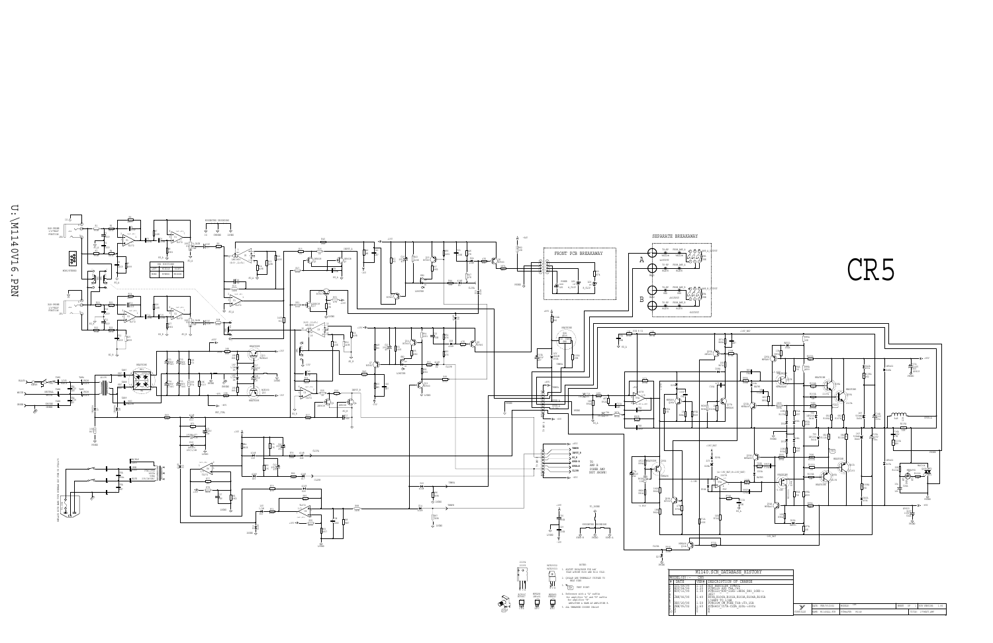| SCH DATABASE HISTORY.                                                                                                               |           |                    |                 |       |    |                    |      |
|-------------------------------------------------------------------------------------------------------------------------------------|-----------|--------------------|-----------------|-------|----|--------------------|------|
| DESCRIPTION OF CHANGE                                                                                                               |           |                    |                 |       |    |                    |      |
| ADD HEATSINK SYMBOL<br>PC#6129 ADD C44, C45<br>PC#6121 R90 21K5->8K06 R83 10K0-><br>3857<br>R99A, R100A, R101A, R103A, R104A, R105A |           |                    |                 |       |    |                    |      |
| $1/4$ WPP TO $1/4W$<br>PC#6314 CE FUSE T3A->T3,15A<br>PC#6403 C17A-C2ZA 220u->330u                                                  | v         | DATE: FEB/05/2002  | CR5<br>MODELS:  | SHEET | OP | SCH VERSION:       | 1.60 |
|                                                                                                                                     | YORKVILLE | NAME: M1140ALL.SCH | PCB#&VER: M1140 |       |    | TITLE: 275WATT AMP |      |

EBC MPSA43

EBC

CBE BC560C

"P29" STYLE

V



5. ALL UNMARKED DIODES IN4148

.<br>PEB/05/02<br>D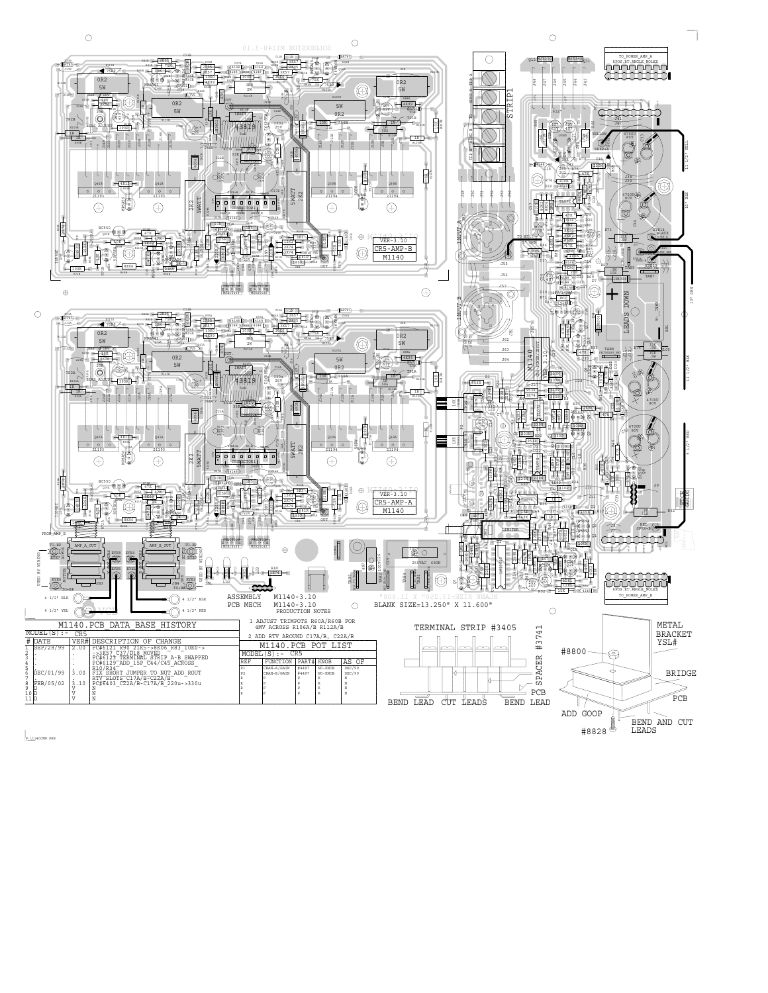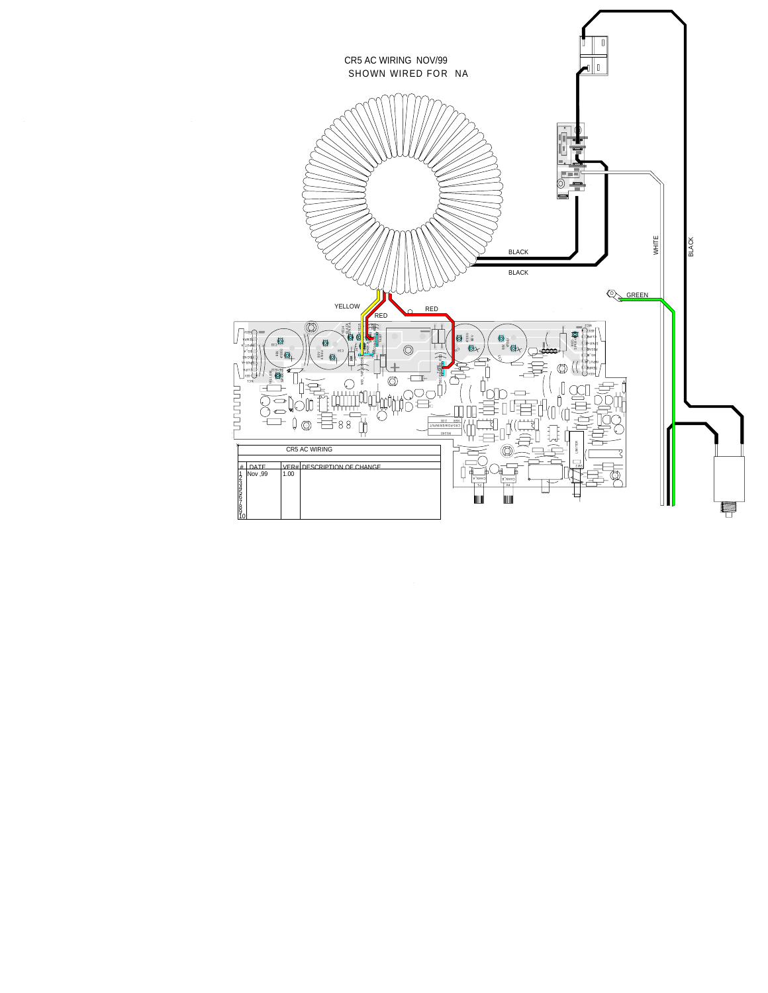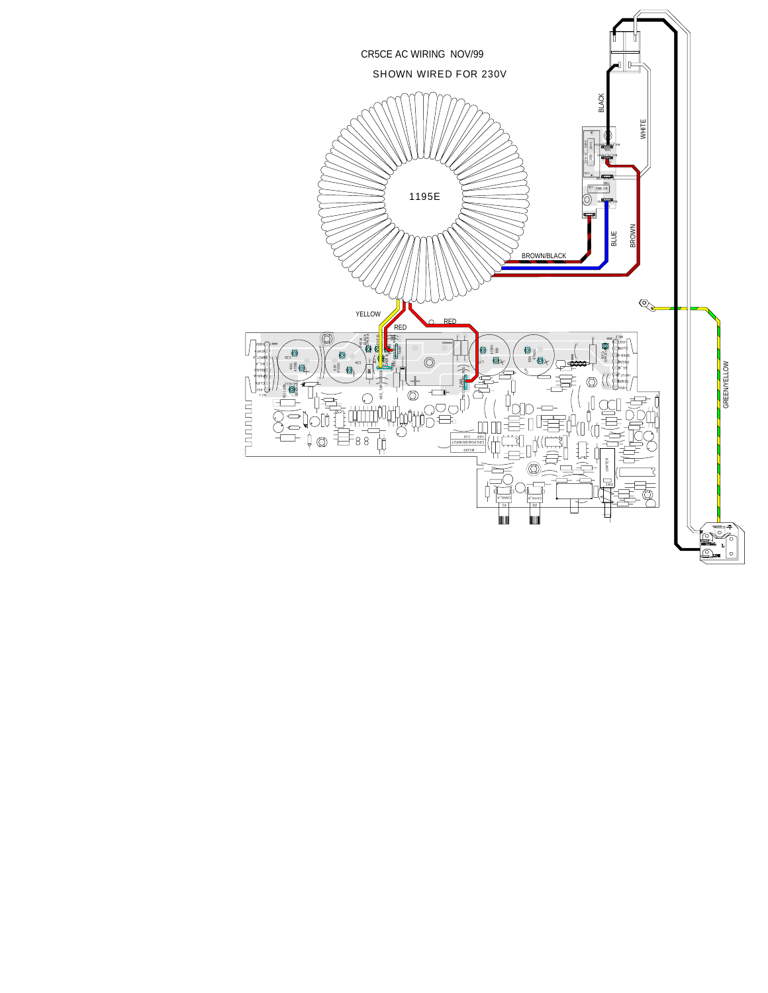